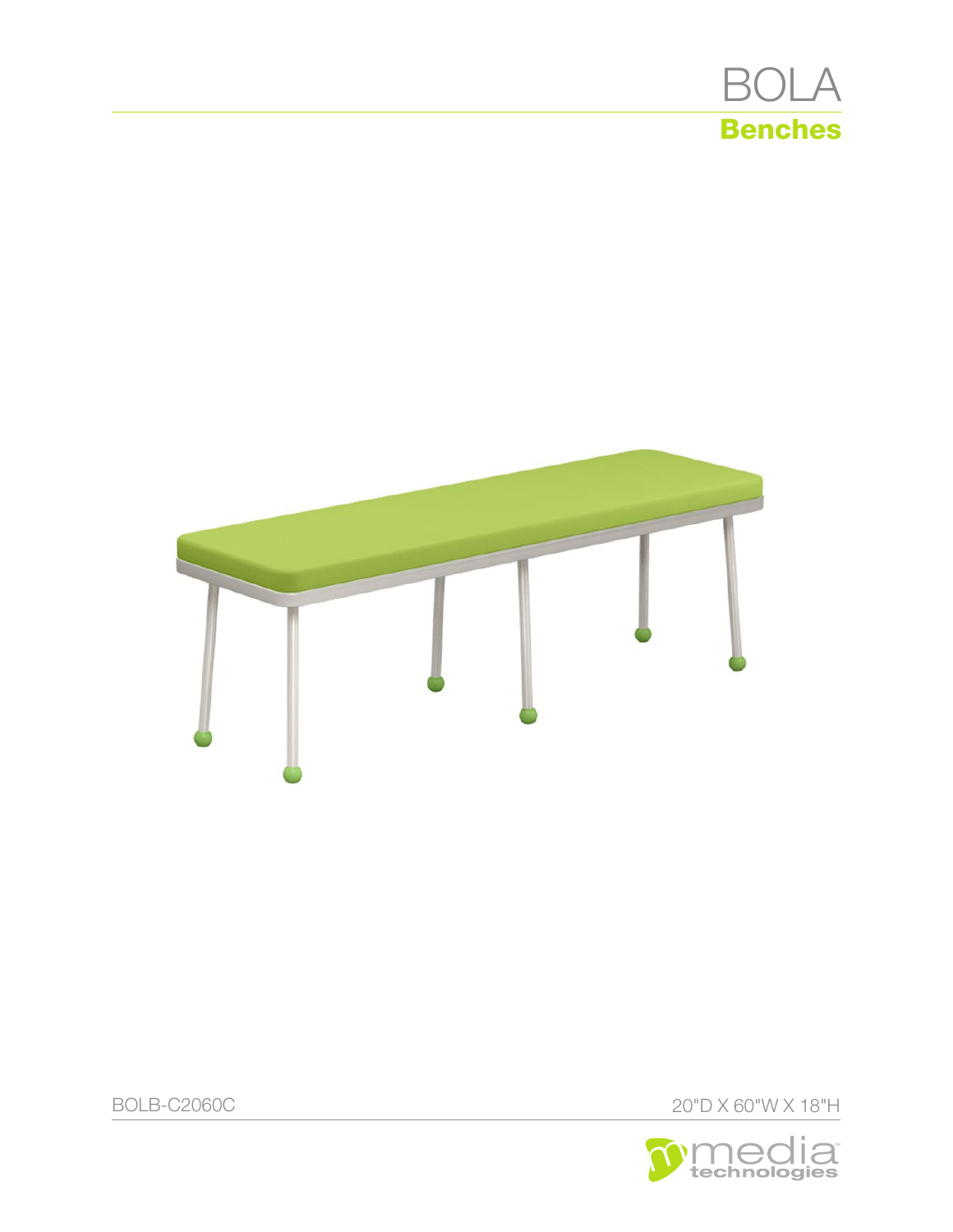

BOLB-C2060C 20"D X 60"W X 18"H